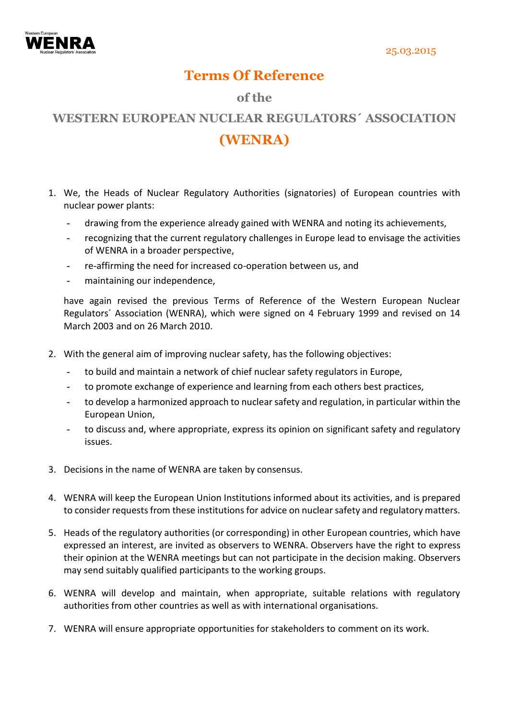

## **Terms Of Reference**

## **of the**

## **WESTERN EUROPEAN NUCLEAR REGULATORS´ ASSOCIATION (WENRA)**

- 1. We, the Heads of Nuclear Regulatory Authorities (signatories) of European countries with nuclear power plants:
	- drawing from the experience already gained with WENRA and noting its achievements,
	- recognizing that the current regulatory challenges in Europe lead to envisage the activities of WENRA in a broader perspective,
	- re-affirming the need for increased co-operation between us, and
	- maintaining our independence,

have again revised the previous Terms of Reference of the Western European Nuclear Regulators´ Association (WENRA), which were signed on 4 February 1999 and revised on 14 March 2003 and on 26 March 2010.

- 2. With the general aim of improving nuclear safety, has the following objectives:
	- to build and maintain a network of chief nuclear safety regulators in Europe,
	- to promote exchange of experience and learning from each others best practices,
	- to develop a harmonized approach to nuclear safety and regulation, in particular within the European Union,
	- to discuss and, where appropriate, express its opinion on significant safety and regulatory issues.
- 3. Decisions in the name of WENRA are taken by consensus.
- 4. WENRA will keep the European Union Institutions informed about its activities, and is prepared to consider requests from these institutions for advice on nuclear safety and regulatory matters.
- 5. Heads of the regulatory authorities (or corresponding) in other European countries, which have expressed an interest, are invited as observers to WENRA. Observers have the right to express their opinion at the WENRA meetings but can not participate in the decision making. Observers may send suitably qualified participants to the working groups.
- 6. WENRA will develop and maintain, when appropriate, suitable relations with regulatory authorities from other countries as well as with international organisations.
- 7. WENRA will ensure appropriate opportunities for stakeholders to comment on its work.